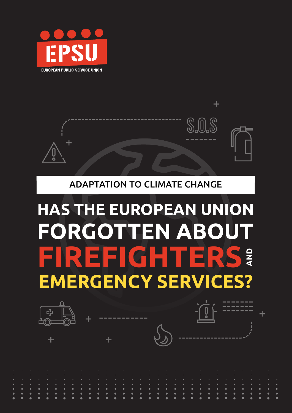



#### ADAPTATION TO CLIMATE CHANGE

# **FIREFIGHTERS FORGOTTEN ABOUTAND EMERGENCY SERVICES? HAS THE EUROPEAN UNION**

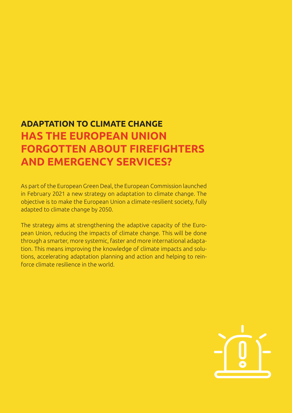### **ADAPTATION TO CLIMATE CHANGE HAS THE EUROPEAN UNION FORGOTTEN ABOUT FIREFIGHTERS AND EMERGENCY SERVICES?**

As part of the European Green Deal, the European Commission launched in February 2021 a new strategy on adaptation to climate change. The objective is to make the European Union a climate-resilient society, fully adapted to climate change by 2050.

The strategy aims at strengthening the adaptive capacity of the European Union, reducing the impacts of climate change. This will be done through a smarter, more systemic, faster and more international adaptation. This means improving the knowledge of climate impacts and solutions, accelerating adaptation planning and action and helping to reinforce climate resilience in the world.

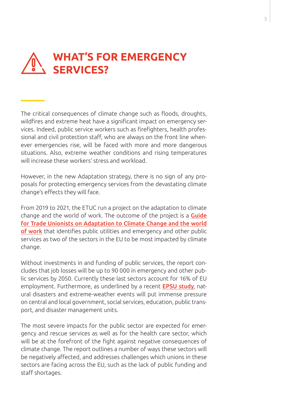## **WHAT'S FOR EMERGENCY SERVICES?**

The critical consequences of climate change such as floods, droughts, wildfires and extreme heat have a significant impact on emergency services. Indeed, public service workers such as firefighters, health professional and civil protection staff, who are always on the front line whenever emergencies rise, will be faced with more and more dangerous situations. Also, extreme weather conditions and rising temperatures will increase these workers' stress and workload.

However, in the new Adaptation strategy, there is no sign of any proposals for protecting emergency services from the devastating climate change's effects they will face.

From 2019 to 2021, the ETUC run a project on the adaptation to climate change and the world of work. The outcome of the project is a **Guide** [for Trade Unionists on Adaptation to Climate Change and the world](https://www.etuc.org/sites/default/files/publication/file/2020-08/ETUC-adaptation-climate-guide_EN_final.pdf)  [of work](https://www.etuc.org/sites/default/files/publication/file/2020-08/ETUC-adaptation-climate-guide_EN_final.pdf) that identifies public utilities and emergency and other public services as two of the sectors in the EU to be most impacted by climate change.

Without investments in and funding of public services, the report concludes that job losses will be up to 90 000 in emergency and other public services by 2050. Currently these last sectors account for 16% of EU employment. Furthermore, as underlined by a recent **[EPSU study](https://www.epsu.org/article/epsu-feature-adaptation-climate-change)**, natural disasters and extreme-weather events will put immense pressure on central and local government, social services, education, public transport, and disaster management units.

The most severe impacts for the public sector are expected for emergency and rescue services as well as for the health care sector, which will be at the forefront of the fight against negative consequences of climate change. The report outlines a number of ways these sectors will be negatively affected, and addresses challenges which unions in these sectors are facing across the EU, such as the lack of public funding and staff shortages.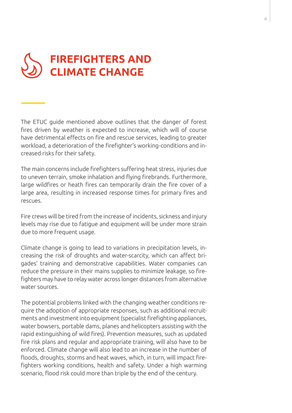

The ETUC guide mentioned above outlines that the danger of forest fires driven by weather is expected to increase, which will of course have detrimental effects on fire and rescue services, leading to greater workload, a deterioration of the firefighter's working-conditions and increased risks for their safety.

The main concerns include firefighters suffering heat stress, injuries due to uneven terrain, smoke inhalation and flying firebrands. Furthermore, large wildfires or heath fires can temporarily drain the fire cover of a large area, resulting in increased response times for primary fires and rescues.

Fire crews will be tired from the increase of incidents, sickness and injury levels may rise due to fatigue and equipment will be under more strain due to more frequent usage.

Climate change is going to lead to variations in precipitation levels, increasing the risk of droughts and water-scarcity, which can affect brigades' training and demonstrative capabilities. Water companies can reduce the pressure in their mains supplies to minimize leakage, so firefighters may have to relay water across longer distances from alternative water sources.

The potential problems linked with the changing weather conditions require the adoption of appropriate responses, such as additional recruitments and investment into equipment (specialist firefighting appliances, water bowsers, portable dams, planes and helicopters assisting with the rapid extinguishing of wild fires). Prevention measures, such as updated fire risk plans and regular and appropriate training, will also have to be enforced. Climate change will also lead to an increase in the number of floods, droughts, storms and heat waves, which, in turn, will impact firefighters working conditions, health and safety. Under a high warming scenario, flood risk could more than triple by the end of the century.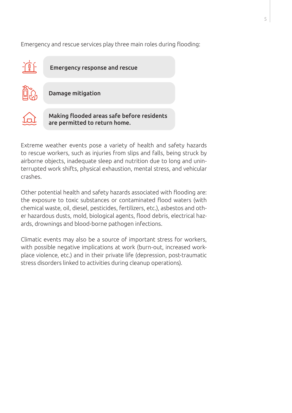Emergency and rescue services play three main roles during flooding:



Extreme weather events pose a variety of health and safety hazards to rescue workers, such as injuries from slips and falls, being struck by airborne objects, inadequate sleep and nutrition due to long and uninterrupted work shifts, physical exhaustion, mental stress, and vehicular crashes.

Other potential health and safety hazards associated with flooding are: the exposure to toxic substances or contaminated flood waters (with chemical waste, oil, diesel, pesticides, fertilizers, etc.), asbestos and other hazardous dusts, mold, biological agents, flood debris, electrical hazards, drownings and blood-borne pathogen infections.

Climatic events may also be a source of important stress for workers, with possible negative implications at work (burn-out, increased workplace violence, etc.) and in their private life (depression, post-traumatic stress disorders linked to activities during cleanup operations).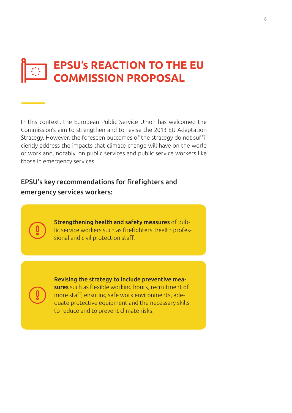# **EPSU's REACTION TO THE EU COMMISSION PROPOSAL**

In this context, the European Public Service Union has welcomed the Commission's aim to strengthen and to revise the 2013 EU Adaptation Strategy. However, the foreseen outcomes of the strategy do not sufficiently address the impacts that climate change will have on the world of work and, notably, on public services and public service workers like those in emergency services.

#### EPSU's key recommendations for firefighters and emergency services workers:

Strengthening health and safety measures of public service workers such as firefighters, health professional and civil protection staff.

Revising the strategy to include preventive measures such as flexible working hours, recruitment of more staff, ensuring safe work environments, adequate protective equipment and the necessary skills to reduce and to prevent climate risks.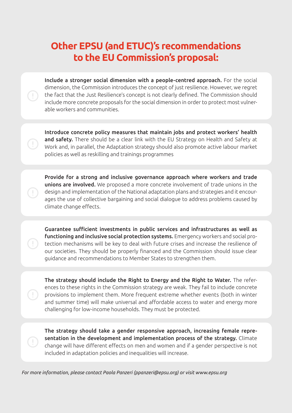#### **Other EPSU (and ETUC)'s recommendations to the EU Commission's proposal:**

Include a stronger social dimension with a people-centred approach. For the social dimension, the Commission introduces the concept of just resilience. However, we regret the fact that the Just Resilience's concept is not clearly defined. The Commission should include more concrete proposals for the social dimension in order to protect most vulnerable workers and communities.

Introduce concrete policy measures that maintain jobs and protect workers' health and safety. There should be a clear link with the EU Strategy on Health and Safety at Work and, in parallel, the Adaptation strategy should also promote active labour market policies as well as reskilling and trainings programmes

Provide for a strong and inclusive governance approach where workers and trade unions are involved. We proposed a more concrete involvement of trade unions in the design and implementation of the National adaptation plans and strategies and it encourages the use of collective bargaining and social dialogue to address problems caused by climate change effects.

Guarantee sufficient investments in public services and infrastructures as well as functioning and inclusive social protection systems. Emergency workers and social protection mechanisms will be key to deal with future crises and increase the resilience of our societies. They should be properly financed and the Commission should issue clear guidance and recommendations to Member States to strengthen them.

The strategy should include the Right to Energy and the Right to Water. The references to these rights in the Commission strategy are weak. They fail to include concrete provisions to implement them. More frequent extreme whether events (both in winter and summer time) will make universal and affordable access to water and energy more challenging for low-income households. They must be protected.

The strategy should take a gender responsive approach, increasing female representation in the development and implementation process of the strategy. Climate change will have different effects on men and women and if a gender perspective is not included in adaptation policies and inequalities will increase.

*For more information, please contact Paola Panzeri (ppanzeri@epsu.org) or visit www.epsu.org*